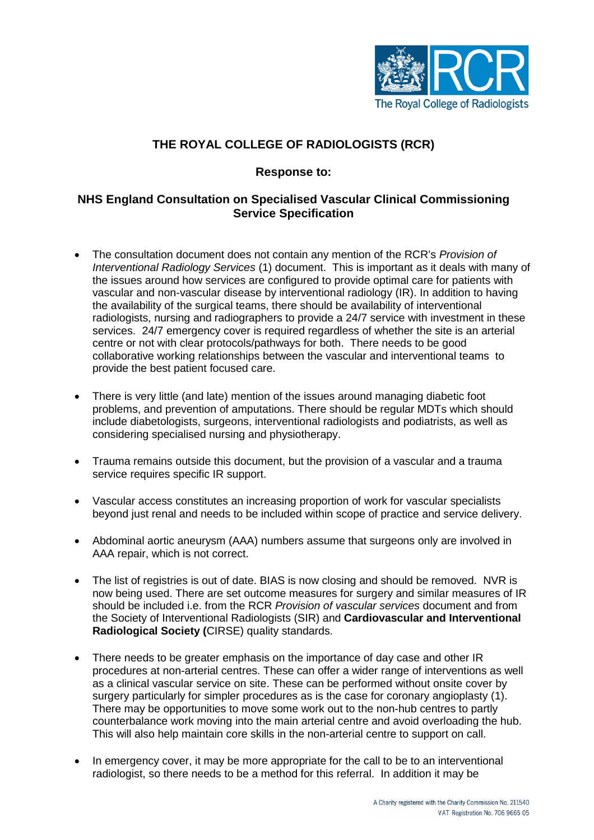

# **THE ROYAL COLLEGE OF RADIOLOGISTS (RCR)**

### **Response to:**

## **NHS England Consultation on Specialised Vascular Clinical Commissioning Service Specification**

- The consultation document does not contain any mention of the RCR's *Provision of Interventional Radiology Services* (1) document. This is important as it deals with many of the issues around how services are configured to provide optimal care for patients with vascular and non-vascular disease by interventional radiology (IR). In addition to having the availability of the surgical teams, there should be availability of interventional radiologists, nursing and radiographers to provide a 24/7 service with investment in these services. 24/7 emergency cover is required regardless of whether the site is an arterial centre or not with clear protocols/pathways for both. There needs to be good collaborative working relationships between the vascular and interventional teams to provide the best patient focused care.
- There is very little (and late) mention of the issues around managing diabetic foot problems, and prevention of amputations. There should be regular MDTs which should include diabetologists, surgeons, interventional radiologists and podiatrists, as well as considering specialised nursing and physiotherapy.
- Trauma remains outside this document, but the provision of a vascular and a trauma service requires specific IR support.
- Vascular access constitutes an increasing proportion of work for vascular specialists beyond just renal and needs to be included within scope of practice and service delivery.
- Abdominal aortic aneurysm (AAA) numbers assume that surgeons only are involved in AAA repair, which is not correct.
- The list of registries is out of date. BIAS is now closing and should be removed. NVR is now being used. There are set outcome measures for surgery and similar measures of IR should be included i.e. from the RCR *Provision of vascular services* document and from the Society of Interventional Radiologists (SIR) and **Cardiovascular and Interventional Radiological Society (**CIRSE) quality standards.
- There needs to be greater emphasis on the importance of day case and other IR procedures at non-arterial centres. These can offer a wider range of interventions as well as a clinical vascular service on site. These can be performed without onsite cover by surgery particularly for simpler procedures as is the case for coronary angioplasty (1). There may be opportunities to move some work out to the non-hub centres to partly counterbalance work moving into the main arterial centre and avoid overloading the hub. This will also help maintain core skills in the non-arterial centre to support on call.
- In emergency cover, it may be more appropriate for the call to be to an interventional radiologist, so there needs to be a method for this referral. In addition it may be